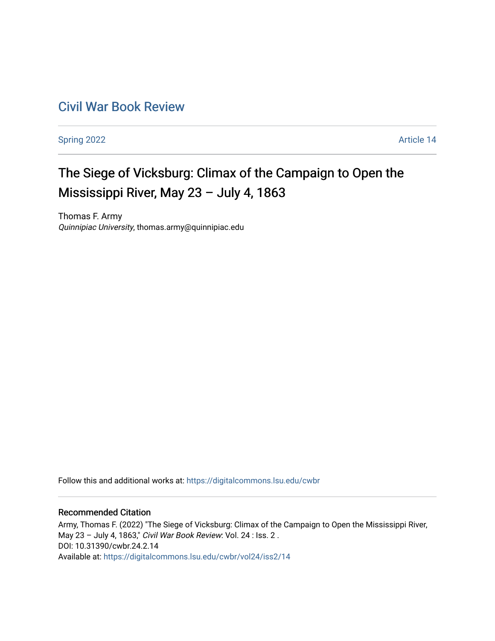# [Civil War Book Review](https://digitalcommons.lsu.edu/cwbr)

[Spring 2022](https://digitalcommons.lsu.edu/cwbr/vol24/iss2) **Article 14** 

# The Siege of Vicksburg: Climax of the Campaign to Open the Mississippi River, May 23 – July 4, 1863

Thomas F. Army Quinnipiac University, thomas.army@quinnipiac.edu

Follow this and additional works at: [https://digitalcommons.lsu.edu/cwbr](https://digitalcommons.lsu.edu/cwbr?utm_source=digitalcommons.lsu.edu%2Fcwbr%2Fvol24%2Fiss2%2F14&utm_medium=PDF&utm_campaign=PDFCoverPages) 

#### Recommended Citation

Army, Thomas F. (2022) "The Siege of Vicksburg: Climax of the Campaign to Open the Mississippi River, May 23 – July 4, 1863," Civil War Book Review: Vol. 24 : Iss. 2 . DOI: 10.31390/cwbr.24.2.14 Available at: [https://digitalcommons.lsu.edu/cwbr/vol24/iss2/14](https://digitalcommons.lsu.edu/cwbr/vol24/iss2/14?utm_source=digitalcommons.lsu.edu%2Fcwbr%2Fvol24%2Fiss2%2F14&utm_medium=PDF&utm_campaign=PDFCoverPages)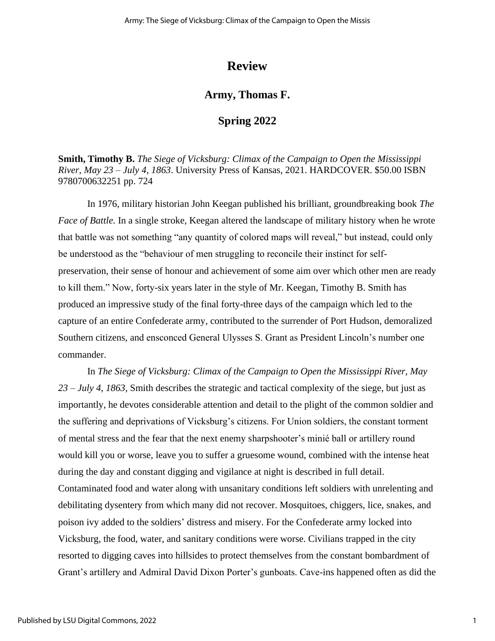## **Review**

### **Army, Thomas F.**

#### **Spring 2022**

**Smith, Timothy B.** *The Siege of Vicksburg: Climax of the Campaign to Open the Mississippi River, May 23 – July 4, 1863*. University Press of Kansas, 2021. HARDCOVER. \$50.00 ISBN 9780700632251 pp. 724

In 1976, military historian John Keegan published his brilliant, groundbreaking book *The Face of Battle.* In a single stroke, Keegan altered the landscape of military history when he wrote that battle was not something "any quantity of colored maps will reveal," but instead, could only be understood as the "behaviour of men struggling to reconcile their instinct for selfpreservation, their sense of honour and achievement of some aim over which other men are ready to kill them." Now, forty-six years later in the style of Mr. Keegan, Timothy B. Smith has produced an impressive study of the final forty-three days of the campaign which led to the capture of an entire Confederate army, contributed to the surrender of Port Hudson, demoralized Southern citizens, and ensconced General Ulysses S. Grant as President Lincoln's number one commander.

In *The Siege of Vicksburg: Climax of the Campaign to Open the Mississippi River, May 23 – July 4, 1863,* Smith describes the strategic and tactical complexity of the siege, but just as importantly, he devotes considerable attention and detail to the plight of the common soldier and the suffering and deprivations of Vicksburg's citizens. For Union soldiers, the constant torment of mental stress and the fear that the next enemy sharpshooter's minié ball or artillery round would kill you or worse, leave you to suffer a gruesome wound, combined with the intense heat during the day and constant digging and vigilance at night is described in full detail. Contaminated food and water along with unsanitary conditions left soldiers with unrelenting and debilitating dysentery from which many did not recover. Mosquitoes, chiggers, lice, snakes, and poison ivy added to the soldiers' distress and misery. For the Confederate army locked into Vicksburg, the food, water, and sanitary conditions were worse. Civilians trapped in the city resorted to digging caves into hillsides to protect themselves from the constant bombardment of Grant's artillery and Admiral David Dixon Porter's gunboats. Cave-ins happened often as did the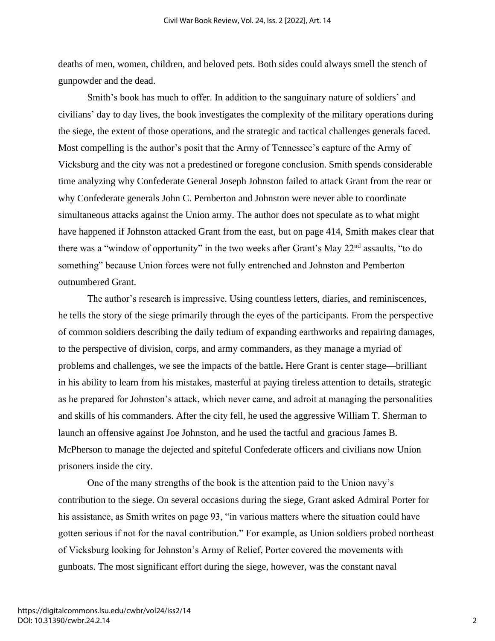deaths of men, women, children, and beloved pets. Both sides could always smell the stench of gunpowder and the dead.

Smith's book has much to offer. In addition to the sanguinary nature of soldiers' and civilians' day to day lives, the book investigates the complexity of the military operations during the siege, the extent of those operations, and the strategic and tactical challenges generals faced. Most compelling is the author's posit that the Army of Tennessee's capture of the Army of Vicksburg and the city was not a predestined or foregone conclusion. Smith spends considerable time analyzing why Confederate General Joseph Johnston failed to attack Grant from the rear or why Confederate generals John C. Pemberton and Johnston were never able to coordinate simultaneous attacks against the Union army. The author does not speculate as to what might have happened if Johnston attacked Grant from the east, but on page 414, Smith makes clear that there was a "window of opportunity" in the two weeks after Grant's May 22<sup>nd</sup> assaults, "to do something" because Union forces were not fully entrenched and Johnston and Pemberton outnumbered Grant.

The author's research is impressive. Using countless letters, diaries, and reminiscences, he tells the story of the siege primarily through the eyes of the participants. From the perspective of common soldiers describing the daily tedium of expanding earthworks and repairing damages, to the perspective of division, corps, and army commanders, as they manage a myriad of problems and challenges, we see the impacts of the battle**.** Here Grant is center stage—brilliant in his ability to learn from his mistakes, masterful at paying tireless attention to details, strategic as he prepared for Johnston's attack, which never came, and adroit at managing the personalities and skills of his commanders. After the city fell, he used the aggressive William T. Sherman to launch an offensive against Joe Johnston, and he used the tactful and gracious James B. McPherson to manage the dejected and spiteful Confederate officers and civilians now Union prisoners inside the city.

One of the many strengths of the book is the attention paid to the Union navy's contribution to the siege. On several occasions during the siege, Grant asked Admiral Porter for his assistance, as Smith writes on page 93, "in various matters where the situation could have gotten serious if not for the naval contribution." For example, as Union soldiers probed northeast of Vicksburg looking for Johnston's Army of Relief, Porter covered the movements with gunboats. The most significant effort during the siege, however, was the constant naval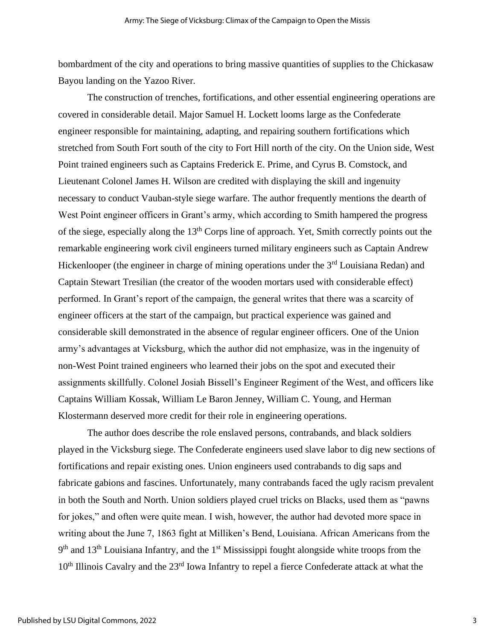bombardment of the city and operations to bring massive quantities of supplies to the Chickasaw Bayou landing on the Yazoo River.

The construction of trenches, fortifications, and other essential engineering operations are covered in considerable detail. Major Samuel H. Lockett looms large as the Confederate engineer responsible for maintaining, adapting, and repairing southern fortifications which stretched from South Fort south of the city to Fort Hill north of the city. On the Union side, West Point trained engineers such as Captains Frederick E. Prime, and Cyrus B. Comstock, and Lieutenant Colonel James H. Wilson are credited with displaying the skill and ingenuity necessary to conduct Vauban-style siege warfare. The author frequently mentions the dearth of West Point engineer officers in Grant's army, which according to Smith hampered the progress of the siege, especially along the  $13<sup>th</sup>$  Corps line of approach. Yet, Smith correctly points out the remarkable engineering work civil engineers turned military engineers such as Captain Andrew Hickenlooper (the engineer in charge of mining operations under the 3<sup>rd</sup> Louisiana Redan) and Captain Stewart Tresilian (the creator of the wooden mortars used with considerable effect) performed. In Grant's report of the campaign, the general writes that there was a scarcity of engineer officers at the start of the campaign, but practical experience was gained and considerable skill demonstrated in the absence of regular engineer officers. One of the Union army's advantages at Vicksburg, which the author did not emphasize, was in the ingenuity of non-West Point trained engineers who learned their jobs on the spot and executed their assignments skillfully. Colonel Josiah Bissell's Engineer Regiment of the West, and officers like Captains William Kossak, William Le Baron Jenney, William C. Young, and Herman Klostermann deserved more credit for their role in engineering operations.

The author does describe the role enslaved persons, contrabands, and black soldiers played in the Vicksburg siege. The Confederate engineers used slave labor to dig new sections of fortifications and repair existing ones. Union engineers used contrabands to dig saps and fabricate gabions and fascines. Unfortunately, many contrabands faced the ugly racism prevalent in both the South and North. Union soldiers played cruel tricks on Blacks, used them as "pawns for jokes," and often were quite mean. I wish, however, the author had devoted more space in writing about the June 7, 1863 fight at Milliken's Bend, Louisiana. African Americans from the 9<sup>th</sup> and 13<sup>th</sup> Louisiana Infantry, and the 1<sup>st</sup> Mississippi fought alongside white troops from the 10<sup>th</sup> Illinois Cavalry and the 23<sup>rd</sup> Iowa Infantry to repel a fierce Confederate attack at what the